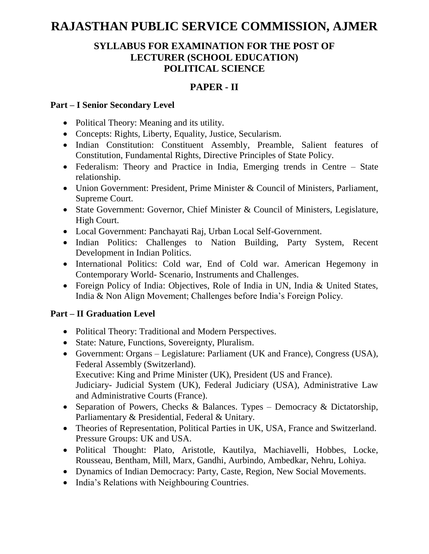# **RAJASTHAN PUBLIC SERVICE COMMISSION, AJMER**

## **SYLLABUS FOR EXAMINATION FOR THE POST OF LECTURER (SCHOOL EDUCATION) POLITICAL SCIENCE**

## **PAPER - II**

#### **Part – I Senior Secondary Level**

- Political Theory: Meaning and its utility.
- Concepts: Rights, Liberty, Equality, Justice, Secularism.
- Indian Constitution: Constituent Assembly, Preamble, Salient features of Constitution, Fundamental Rights, Directive Principles of State Policy.
- Federalism: Theory and Practice in India, Emerging trends in Centre State relationship.
- Union Government: President, Prime Minister & Council of Ministers, Parliament, Supreme Court.
- State Government: Governor, Chief Minister & Council of Ministers, Legislature, High Court.
- Local Government: Panchayati Raj, Urban Local Self-Government.
- Indian Politics: Challenges to Nation Building, Party System, Recent Development in Indian Politics.
- International Politics: Cold war, End of Cold war. American Hegemony in Contemporary World- Scenario, Instruments and Challenges.
- Foreign Policy of India: Objectives, Role of India in UN, India & United States, India & Non Align Movement; Challenges before India's Foreign Policy.

### **Part – II Graduation Level**

- Political Theory: Traditional and Modern Perspectives.
- State: Nature, Functions, Sovereignty, Pluralism.
- Government: Organs Legislature: Parliament (UK and France), Congress (USA), Federal Assembly (Switzerland). Executive: King and Prime Minister (UK), President (US and France).

Judiciary- Judicial System (UK), Federal Judiciary (USA), Administrative Law and Administrative Courts (France).

- Separation of Powers, Checks & Balances. Types Democracy & Dictatorship, Parliamentary & Presidential, Federal & Unitary.
- Theories of Representation, Political Parties in UK, USA, France and Switzerland. Pressure Groups: UK and USA.
- Political Thought: Plato, Aristotle, Kautilya, Machiavelli, Hobbes, Locke, Rousseau, Bentham, Mill, Marx, Gandhi, Aurbindo, Ambedkar, Nehru, Lohiya.
- Dynamics of Indian Democracy: Party, Caste, Region, New Social Movements.
- India's Relations with Neighbouring Countries.